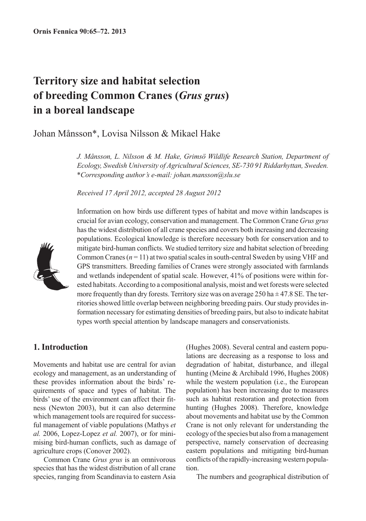# **Territory size and habitat selection of breeding Common Cranes (***Grus grus***) in a boreal landscape**

Johan Månsson\*, Lovisa Nilsson & Mikael Hake

*J. Månsson, L. Nilsson & M. Hake, Grimsö Wildlife Research Station, Department of Ecology, Swedish University of Agricultural Sciences, SE-730 91 Riddarhyttan, Sweden. \*Corresponding author's e-mail: johan.mansson@slu.se*

*Received 17 April 2012, accepted 28 August 2012*



Information on how birds use different types of habitat and move within landscapes is crucial for avian ecology, conservation and management. The Common Crane *Grus grus* has the widest distribution of all crane species and covers both increasing and decreasing populations. Ecological knowledge is therefore necessary both for conservation and to mitigate bird-human conflicts. We studied territory size and habitat selection of breeding Common Cranes  $(n = 11)$  at two spatial scales in south-central Sweden by using VHF and GPS transmitters. Breeding families of Cranes were strongly associated with farmlands and wetlands independent of spatial scale. However, 41% of positions were within forested habitats. According to a compositional analysis, moist and wet forests were selected more frequently than dry forests. Territory size was on average  $250$  ha  $\pm$  47.8 SE. The territories showed little overlap between neighboring breeding pairs. Our study provides information necessary for estimating densities of breeding pairs, but also to indicate habitat types worth special attention by landscape managers and conservationists.

# **1. Introduction**

Movements and habitat use are central for avian ecology and management, as an understanding of these provides information about the birds' requirements of space and types of habitat. The birds' use of the environment can affect their fitness (Newton 2003), but it can also determine which management tools are required for successful management of viable populations (Mathys *et al.* 2006, Lopez-Lopez *et al.* 2007), or for minimising bird-human conflicts, such as damage of agriculture crops (Conover 2002).

Common Crane *Grus grus* is an omnivorous species that has the widest distribution of all crane species, ranging from Scandinavia to eastern Asia (Hughes 2008). Several central and eastern populations are decreasing as a response to loss and degradation of habitat, disturbance, and illegal hunting (Meine & Archibald 1996, Hughes 2008) while the western population (i.e., the European population) has been increasing due to measures such as habitat restoration and protection from hunting (Hughes 2008). Therefore, knowledge about movements and habitat use by the Common Crane is not only relevant for understanding the ecology of the species but also from a management perspective, namely conservation of decreasing eastern populations and mitigating bird-human conflicts of the rapidly-increasing western population.

The numbers and geographical distribution of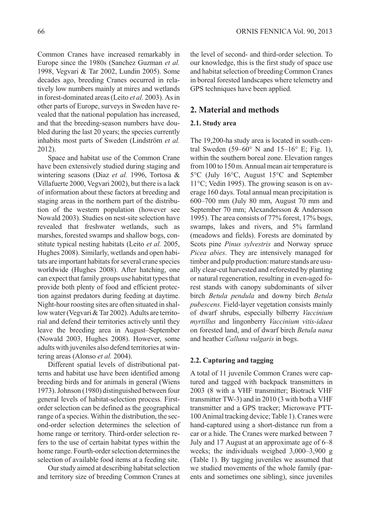Common Cranes have increased remarkably in Europe since the 1980s (Sanchez Guzman *et al.* 1998, Vegvari & Tar 2002, Lundin 2005). Some decades ago, breeding Cranes occurred in relatively low numbers mainly at mires and wetlands in forest-dominated areas (Leito *et al.* 2003). As in other parts of Europe, surveys in Sweden have revealed that the national population has increased, and that the breeding-season numbers have doubled during the last 20 years; the species currently inhabits most parts of Sweden (Lindström *et al.* 2012).

Space and habitat use of the Common Crane have been extensively studied during staging and wintering seasons (Diaz *et al.* 1996, Tortosa & Villafuerte 2000, Vegvari 2002), but there is a lack of information about these factors at breeding and staging areas in the northern part of the distribution of the western population (however see Nowald 2003). Studies on nest-site selection have revealed that freshwater wetlands, such as marshes, forested swamps and shallow bogs, constitute typical nesting habitats (Leito *et al.* 2005, Hughes 2008). Similarly, wetlands and open habitats are important habitats for several crane species worldwide (Hughes 2008). After hatching, one can expect that family groups use habitat types that provide both plenty of food and efficient protection against predators during feeding at daytime. Night-hour roosting sites are often situated in shallow water (Vegvari & Tar 2002). Adults are territorial and defend their territories actively until they leave the breeding area in August–September (Nowald 2003, Hughes 2008). However, some adults with juveniles also defend territories at wintering areas (Alonso *et al.* 2004).

Different spatial levels of distributional patterns and habitat use have been identified among breeding birds and for animals in general (Wiens 1973). Johnson (1980) distinguished between four general levels of habitat-selection process. Firstorder selection can be defined as the geographical range of a species. Within the distribution, the second-order selection determines the selection of home range or territory. Third-order selection refers to the use of certain habitat types within the home range. Fourth-order selection determines the selection of available food items at a feeding site.

Our study aimed at describing habitat selection and territory size of breeding Common Cranes at the level of second- and third-order selection. To our knowledge, this is the first study of space use and habitat selection of breeding Common Cranes in boreal forested landscapes where telemetry and GPS techniques have been applied.

## **2. Material and methods**

#### **2.1. Study area**

The 19,200-ha study area is located in south-central Sweden (59–60 $\degree$  N and 15–16 $\degree$  E; Fig. 1), within the southern boreal zone. Elevation ranges from 100 to 150 m. Annual mean air temperature is 5°C (July 16°C, August 15°C and September 11°C; Vedin 1995). The growing season is on average 160 days. Total annual mean precipitation is 600–700 mm (July 80 mm, August 70 mm and September 70 mm; Alexandersson & Andersson 1995). The area consists of 77% forest, 17% bogs, swamps, lakes and rivers, and 5% farmland (meadows and fields). Forests are dominated by Scots pine *Pinus sylvestris* and Norway spruce *Picea abies*. They are intensively managed for timber and pulp production: mature stands are usually clear-cut harvested and reforested by planting or natural regeneration, resulting in even-aged forest stands with canopy subdominants of silver birch *Betula pendula* and downy birch *Betula pubescens.* Field-layer vegetation consists mainly of dwarf shrubs, especially bilberry *Vaccinium myrtillus* and lingonberry *Vaccinium vitis-idaea* on forested land, and of dwarf birch *Betula nana* and heather *Calluna vulgaris* in bogs.

## **2.2. Capturing and tagging**

A total of 11 juvenile Common Cranes were captured and tagged with backpack transmitters in 2003 (8 with a VHF transmitter; Biotrack VHF transmitter TW-3) and in 2010 (3 with both a VHF transmitter and a GPS tracker; Microwave PTT-100 Animal tracking device; Table 1). Cranes were hand-captured using a short-distance run from a car or a hide. The Cranes were marked between 7 July and 17 August at an approximate age of 6–8 weeks; the individuals weighed 3,000–3,900 g (Table 1). By tagging juveniles we assumed that we studied movements of the whole family (parents and sometimes one sibling), since juveniles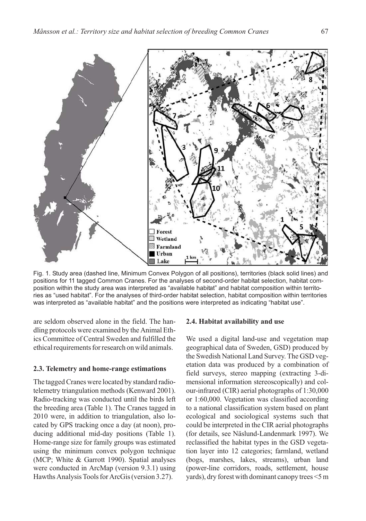

Fig. 1. Study area (dashed line, Minimum Convex Polygon of all positions), territories (black solid lines) and positions for 11 tagged Common Cranes. For the analyses of second-order habitat selection, habitat composition within the study area was interpreted as "available habitat" and habitat composition within territories as "used habitat". For the analyses of third-order habitat selection, habitat composition within territories was interpreted as "available habitat" and the positions were interpreted as indicating "habitat use".

are seldom observed alone in the field. The handling protocols were examined by the Animal Ethics Committee of Central Sweden and fulfilled the ethical requirements for research on wild animals.

### **2.3. Telemetry and home-range estimations**

The tagged Cranes were located by standard radiotelemetry triangulation methods (Kenward 2001). Radio-tracking was conducted until the birds left the breeding area (Table 1). The Cranes tagged in 2010 were, in addition to triangulation, also located by GPS tracking once a day (at noon), producing additional mid-day positions (Table 1). Home-range size for family groups was estimated using the minimum convex polygon technique (MCP; White & Garrott 1990). Spatial analyses were conducted in ArcMap (version 9.3.1) using Hawths Analysis Tools for ArcGis (version 3.27).

#### **2.4. Habitat availability and use**

We used a digital land-use and vegetation map geographical data of Sweden, GSD) produced by the Swedish National Land Survey. The GSD vegetation data was produced by a combination of field surveys, stereo mapping (extracting 3-dimensional information stereoscopically) and colour-infrared (CIR) aerial photographs of 1:30,000 or 1:60,000. Vegetation was classified according to a national classification system based on plant ecological and sociological systems such that could be interpreted in the CIR aerial photographs (for details, see Näslund-Landenmark 1997). We reclassified the habitat types in the GSD vegetation layer into 12 categories; farmland, wetland (bogs, marshes, lakes, streams), urban land (power-line corridors, roads, settlement, house yards), dry forest with dominant canopy trees <5 m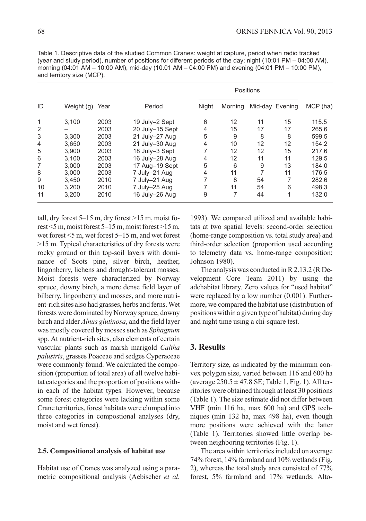| ID             | Weight (g) | Year | Period          | <u>FUSILIUI IS</u> |         |    |                 |          |
|----------------|------------|------|-----------------|--------------------|---------|----|-----------------|----------|
|                |            |      |                 | Night              | Morning |    | Mid-day Evening | MCP (ha) |
| 1              | 3.100      | 2003 | 19 July-2 Sept  | 6                  | 12      | 11 | 15              | 115.5    |
| 2              | -          | 2003 | 20 July-15 Sept | $\overline{4}$     | 15      | 17 | 17              | 265.6    |
| 3              | 3.300      | 2003 | 21 July-27 Aug  | 5                  | 9       | 8  | 8               | 599.5    |
| $\overline{4}$ | 3.650      | 2003 | 21 July-30 Aug  | 4                  | 10      | 12 | 12              | 154.2    |
| 5              | 3.900      | 2003 | 18 July-3 Sept  |                    | 12      | 12 | 15              | 217.6    |
| 6              | 3.100      | 2003 | 16 July-28 Aug  | 4                  | 12      | 11 | 11              | 129.5    |
| 7              | 3.000      | 2003 | 17 Aug-19 Sept  | 5                  | 6       | 9  | 13              | 184.0    |
| 8              | 3.000      | 2003 | 7 July-21 Aug   | 4                  | 11      |    | 11              | 176.5    |
| 9              | 3.450      | 2010 | 7 July-21 Aug   | 7                  | 8       | 54 |                 | 282.6    |
| 10             | 3,200      | 2010 | 7 July-25 Aug   |                    | 11      | 54 | 6               | 498.3    |
| 11             | 3.200      | 2010 | 16 July-26 Aug  | 9                  | 7       | 44 | 1               | 132.0    |

Table 1. Descriptive data of the studied Common Cranes: weight at capture, period when radio tracked (year and study period), number of positions for different periods of the day; night (10:01 PM – 04:00 AM), morning (04:01 AM – 10:00 AM), mid-day (10.01 AM – 04:00 PM) and evening (04:01 PM – 10:00 PM), and territory size (MCP).

tall, dry forest  $5-15$  m, dry forest  $>15$  m, moist forest <5 m, moist forest 5–15 m, moist forest >15 m, wet forest <5 m, wet forest 5–15 m, and wet forest >15 m. Typical characteristics of dry forests were rocky ground or thin top-soil layers with dominance of Scots pine, silver birch, heather, lingonberry, lichens and drought-tolerant mosses. Moist forests were characterized by Norway spruce, downy birch, a more dense field layer of bilberry, lingonberry and mosses, and more nutrient-rich sites also had grasses, herbs and ferns. Wet forests were dominated by Norway spruce, downy birch and alder *Alnus glutinosa*, and the field layer was mostly covered by mosses such as *Sphagnum* spp. At nutrient-rich sites, also elements of certain vascular plants such as marsh marigold *Caltha palustris*, grasses Poaceae and sedges Cyperaceae were commonly found. We calculated the composition (proportion of total area) of all twelve habitat categories and the proportion of positions within each of the habitat types. However, because some forest categories were lacking within some Crane territories, forest habitats were clumped into three categories in compostional analyses (dry, moist and wet forest).

#### **2.5. Compositional analysis of habitat use**

Habitat use of Cranes was analyzed using a parametric compositional analysis (Aebischer *et al.* 1993). We compared utilized and available habitats at two spatial levels: second-order selection (home-range composition vs. total study area) and third-order selection (proportion used according to telemetry data vs. home-range composition; Johnson 1980).

Positions

The analysis was conducted in R 2.13.2 (R Development Core Team 2011) by using the adehabitat library. Zero values for "used habitat" were replaced by a low number (0.001). Furthermore, we compared the habitat use (distribution of positions within a given type of habitat) during day and night time using a chi-square test.

## **3. Results**

Territory size, as indicated by the minimum convex polygon size, varied between 116 and 600 ha (average  $250.5 \pm 47.8$  SE; Table 1, Fig. 1). All territories were obtained through at least 30 positions (Table 1). The size estimate did not differ between VHF (min 116 ha, max 600 ha) and GPS techniques (min 132 ha, max 498 ha), even though more positions were achieved with the latter (Table 1). Territories showed little overlap between neighboring territories (Fig. 1).

The area within territories included on average 74% forest, 14% farmland and 10% wetlands (Fig. 2), whereas the total study area consisted of 77% forest, 5% farmland and 17% wetlands. Alto-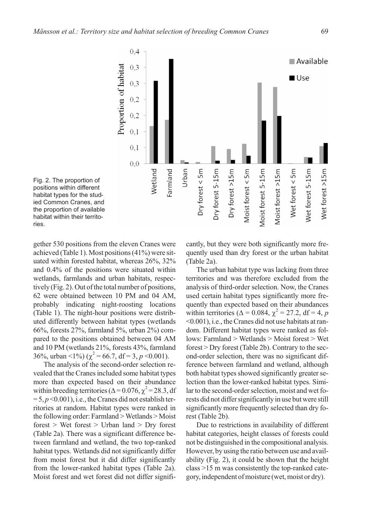



gether 530 positions from the eleven Cranes were achieved (Table 1). Most positions (41%) were situated within forested habitat, whereas 26%, 32% and 0.4% of the positions were situated within wetlands, farmlands and urban habitats, respectively (Fig. 2). Out of the total number of positions, 62 were obtained between 10 PM and 04 AM, probably indicating night-roosting locations (Table 1). The night-hour positions were distributed differently between habitat types (wetlands 66%, forests 27%, farmland 5%, urban 2%) compared to the positions obtained between 04 AM and 10 PM (wetlands 21%, forests 43%, farmland 36%, urban <1%) ( $\chi^2$  = 66.7, df = 3, *p* <0.001).

The analysis of the second-order selection revealed that the Cranes included some habitat types more than expected based on their abundance within breeding territories ( $\Delta = 0.076$ ,  $\chi^2 = 28.3$ , df  $= 5, p \le 0.001$ , i.e., the Cranes did not establish territories at random. Habitat types were ranked in the following order: Farmland > Wetlands > Moist forest > Wet forest > Urban land > Dry forest (Table 2a). There was a significant difference between farmland and wetland, the two top-ranked habitat types. Wetlands did not significantly differ from moist forest but it did differ significantly from the lower-ranked habitat types (Table 2a). Moist forest and wet forest did not differ significantly, but they were both significantly more frequently used than dry forest or the urban habitat (Table 2a).

The urban habitat type was lacking from three territories and was therefore excluded from the analysis of third-order selection. Now, the Cranes used certain habitat types significantly more frequently than expected based on their abundances within territories ( $\Delta = 0.084$ ,  $\chi^2 = 27.2$ , df = 4, *p* <0.001), i.e., the Cranes did not use habitats at random. Different habitat types were ranked as follows: Farmland > Wetlands > Moist forest > Wet forest > Dry forest (Table 2b). Contrary to the second-order selection, there was no significant difference between farmland and wetland, although both habitat types showed significantly greater selection than the lower-ranked habitat types. Similar to the second-order selection, moist and wet forests did not differ significantly in use but were still significantly more frequently selected than dry forest (Table 2b).

Due to restrictions in availability of different habitat categories, height classes of forests could not be distinguished in the compositional analysis. However, by using the ratio between use and availability (Fig. 2), it could be shown that the height class >15 m was consistently the top-ranked category, independent of moisture (wet, moist or dry).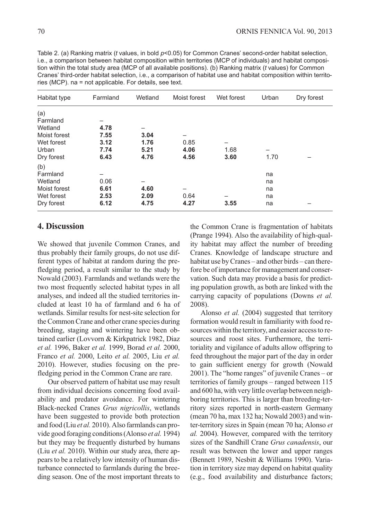| Habitat type | Farmland | Wetland | Moist forest | Wet forest | Urban | Dry forest |
|--------------|----------|---------|--------------|------------|-------|------------|
| (a)          |          |         |              |            |       |            |
| Farmland     | -        |         |              |            |       |            |
| Wetland      | 4.78     |         |              |            |       |            |
| Moist forest | 7.55     | 3.04    |              |            |       |            |
| Wet forest   | 3.12     | 1.76    | 0.85         |            |       |            |
| Urban        | 7.74     | 5.21    | 4.06         | 1.68       |       |            |
| Dry forest   | 6.43     | 4.76    | 4.56         | 3.60       | 1.70  |            |
| (b)          |          |         |              |            |       |            |
| Farmland     |          |         |              |            | na    |            |
| Wetland      | 0.06     |         |              |            | na    |            |
| Moist forest | 6.61     | 4.60    |              |            | na    |            |
| Wet forest   | 2.53     | 2.09    | 0.64         |            | na    |            |
| Dry forest   | 6.12     | 4.75    | 4.27         | 3.55       | na    |            |

Table 2. (a) Ranking matrix (*t* values, in bold *p*<0.05) for Common Cranes' second-order habitat selection, i.e., a comparison between habitat composition within territories (MCP of individuals) and habitat composition within the total study area (MCP of all available positions). (b) Ranking matrix (*t* values) for Common Cranes' third-order habitat selection, i.e., a comparison of habitat use and habitat composition within territories (MCP). na = not applicable. For details, see text.

## **4. Discussion**

We showed that juvenile Common Cranes, and thus probably their family groups, do not use different types of habitat at random during the prefledging period, a result similar to the study by Nowald (2003). Farmlands and wetlands were the two most frequently selected habitat types in all analyses, and indeed all the studied territories included at least 10 ha of farmland and 6 ha of wetlands. Similar results for nest-site selection for the Common Crane and other crane species during breeding, staging and wintering have been obtained earlier (Lovvorn & Kirkpatrick 1982, Diaz *et al.* 1996, Baker *et al.* 1999, Borad *et al.* 2000, Franco *et al.* 2000, Leito *et al.* 2005, Liu *et al.* 2010). However, studies focusing on the prefledging period in the Common Crane are rare.

Our observed pattern of habitat use may result from individual decisions concerning food availability and predator avoidance. For wintering Black-necked Cranes *Grus nigricollis*, wetlands have been suggested to provide both protection and food (Liu *et al.* 2010). Also farmlands can provide good foraging conditions (Alonso *et al.* 1994) but they may be frequently disturbed by humans (Liu *et al.* 2010). Within our study area, there appears to be a relatively low intensity of human disturbance connected to farmlands during the breeding season. One of the most important threats to the Common Crane is fragmentation of habitats (Prange 1994). Also the availability of high-quality habitat may affect the number of breeding Cranes. Knowledge of landscape structure and habitat use by Cranes – and other birds – can therefore be of importance for management and conservation. Such data may provide a basis for predicting population growth, as both are linked with the carrying capacity of populations (Downs *et al.* 2008).

Alonso *et al.* (2004) suggested that territory formation would result in familiarity with food resources within the territory, and easier access to resources and roost sites. Furthermore, the territoriality and vigilance of adults allow offspring to feed throughout the major part of the day in order to gain sufficient energy for growth (Nowald 2001). The "home ranges" of juvenile Cranes – or territories of family groups – ranged between 115 and 600 ha, with very little overlap between neighboring territories. This is larger than breeding-territory sizes reported in north-eastern Germany (mean 70 ha, max 132 ha; Nowald 2003) and winter-territory sizes in Spain (mean 70 ha; Alonso *et al.* 2004). However, compared with the territory sizes of the Sandhill Crane *Grus canadensis*, our result was between the lower and upper ranges (Bennett 1989, Nesbitt & Williams 1990). Variation in territory size may depend on habitat quality (e.g., food availability and disturbance factors;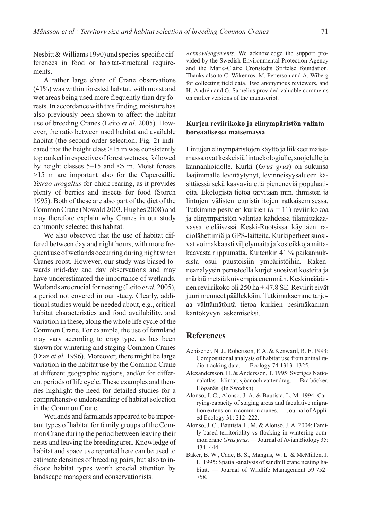Nesbitt & Williams 1990) and species-specific differences in food or habitat-structural requirements.

A rather large share of Crane observations (41%) was within forested habitat, with moist and wet areas being used more frequently than dry forests. In accordance with this finding, moisture has also previously been shown to affect the habitat use of breeding Cranes (Leito *et al.* 2005). However, the ratio between used habitat and available habitat (the second-order selection; Fig. 2) indicated that the height class >15 m was consistently top ranked irrespective of forest wetness, followed by height classes 5–15 and <5 m. Moist forests >15 m are important also for the Capercaillie *Tetrao urogallus* for chick rearing, as it provides plenty of berries and insects for food (Storch 1995). Both of these are also part of the diet of the Common Crane (Nowald 2003, Hughes 2008) and may therefore explain why Cranes in our study commonly selected this habitat.

We also observed that the use of habitat differed between day and night hours, with more frequent use of wetlands occurring during night when Cranes roost. However, our study was biased towards mid-day and day observations and may have underestimated the importance of wetlands. Wetlands are crucial for nesting (Leito *et al.* 2005), a period not covered in our study. Clearly, additional studies would be needed about, e.g., critical habitat characteristics and food availability, and variation in these, along the whole life cycle of the Common Crane. For example, the use of farmland may vary according to crop type, as has been shown for wintering and staging Common Cranes (Diaz *et al.* 1996). Moreover, there might be large variation in the habitat use by the Common Crane at different geographic regions, and/or for different periods of life cycle. These examples and theories highlight the need for detailed studies for a comprehensive understanding of habitat selection in the Common Crane.

Wetlands and farmlands appeared to be important types of habitat for family groups of the Common Crane during the period between leaving their nests and leaving the breeding area. Knowledge of habitat and space use reported here can be used to estimate densities of breeding pairs, but also to indicate habitat types worth special attention by landscape managers and conservationists.

*Acknowledgements.* We acknowledge the support provided by the Swedish Environmental Protection Agency and the Marie-Claire Cronstedts Stiftelse foundation. Thanks also to C. Wikenros, M. Petterson and A. Wiberg for collecting field data. Two anonymous reviewers, and H. Andrén and G. Samelius provided valuable comments on earlier versions of the manuscript.

## **Kurjen reviirikoko ja elinympäristön valinta boreaalisessa maisemassa**

Lintujen elinympäristöjen käyttö ja liikkeet maisemassa ovat keskeisiä lintuekologialle, suojelulle ja kannanhoidolle. Kurki (*Grus grus*) on sukunsa laajimmalle levittäytynyt, levinneisyysalueen käsittäessä sekä kasvavia että pieneneviä populaatioita. Ekologista tietoa tarvitaan mm. ihmisten ja lintujen välisten eturistiriitojen ratkaisemisessa. Tutkimme pesivien kurkien (*n* = 11) reviirikokoa ja elinympäristön valintaa kahdessa tilamittakaavassa eteläisessä Keski-Ruotsissa käyttäen radiolähettimiä ja GPS-laitteita. Kurkiperheet suosivat voimakkaasti viljelymaita ja kosteikkoja mittakaavasta riippumatta. Kuitenkin 41 % paikannuksista osui puustoisiin ympäristöihin. Rakenneanalyysin perusteella kurjet suosivat kosteita ja märkiä metsiä kuivempia enemmän. Keskimääräinen reviirikoko oli 250 ha ± 47.8 SE. Reviirit eivät juuri menneet päällekkäin. Tutkimuksemme tarjoaa välttämätöntä tietoa kurkien pesimäkannan kantokyvyn laskemiseksi.

## **References**

- Aebischer, N. J., Robertson, P. A. & Kenward, R. E. 1993: Compositional analysis of habitat use from aninal radio-tracking data. — Ecology 74:1313–1325.
- Alexandersson, H. & Andersson, T. 1995: Sveriges Nationalatlas – klimat, sjöar och vattendrag. — Bra böcker, Höganäs. (In Swedish)
- Alonso, J. C., Alonso, J. A. & Bautista, L. M. 1994: Carrying-capacity of staging areas and faculative migration extension in common cranes. — Journal of Applied Ecology 31: 212–222.
- Alonso, J. C., Bautista, L. M. & Alonso, J. A. 2004: Family-based territoriality vs flocking in wintering common crane *Grus grus*. — Journal of Avian Biology 35: 434–444.
- Baker, B. W., Cade, B. S., Mangus, W. L. & McMillen, J. L. 1995: Spatial-analysis of sandhill crane nesting habitat. — Journal of Wildlife Management 59:752– 758.